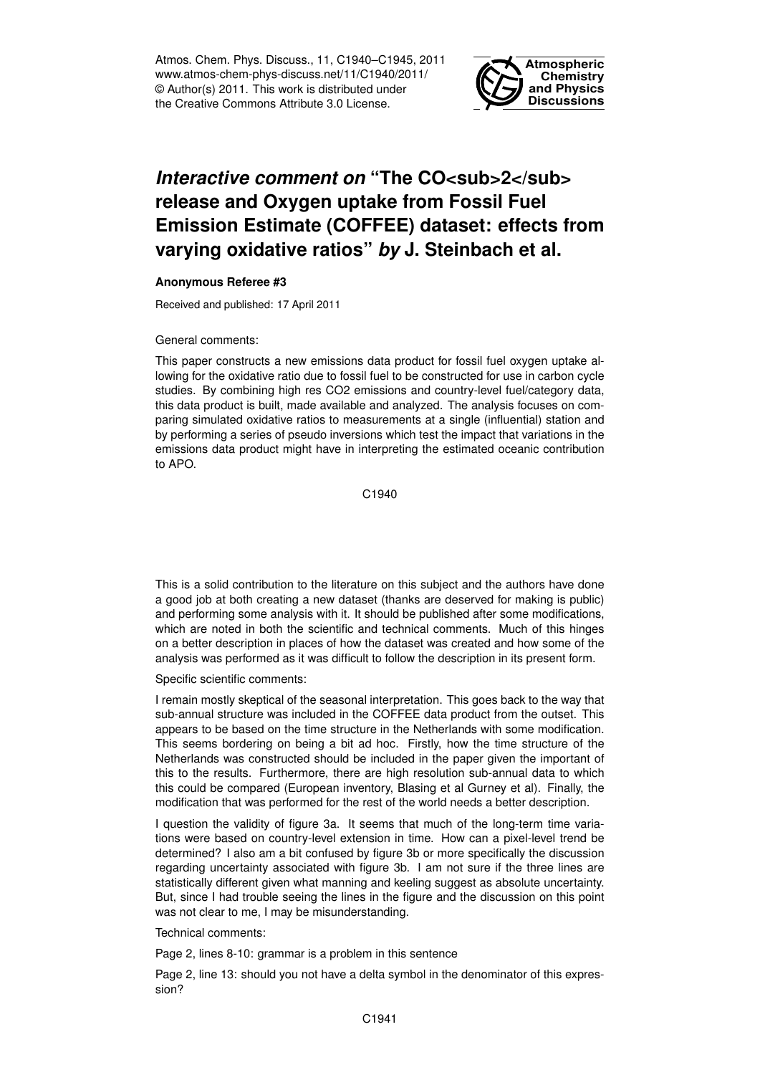Atmos. Chem. Phys. Discuss., 11, C1940–C1945, 2011 www.atmos-chem-phys-discuss.net/11/C1940/2011/ © Author(s) 2011. This work is distributed under the Creative Commons Attribute 3.0 License.



## *Interactive comment on* "The CO<sub>2</sub> **release and Oxygen uptake from Fossil Fuel Emission Estimate (COFFEE) dataset: effects from varying oxidative ratios"** *by* **J. Steinbach et al.**

## **Anonymous Referee #3**

Received and published: 17 April 2011

## General comments:

This paper constructs a new emissions data product for fossil fuel oxygen uptake allowing for the oxidative ratio due to fossil fuel to be constructed for use in carbon cycle studies. By combining high res CO2 emissions and country-level fuel/category data, this data product is built, made available and analyzed. The analysis focuses on comparing simulated oxidative ratios to measurements at a single (influential) station and by performing a series of pseudo inversions which test the impact that variations in the emissions data product might have in interpreting the estimated oceanic contribution to APO.

C1940

This is a solid contribution to the literature on this subject and the authors have done a good job at both creating a new dataset (thanks are deserved for making is public) and performing some analysis with it. It should be published after some modifications, which are noted in both the scientific and technical comments. Much of this hinges on a better description in places of how the dataset was created and how some of the analysis was performed as it was difficult to follow the description in its present form.

## Specific scientific comments:

I remain mostly skeptical of the seasonal interpretation. This goes back to the way that sub-annual structure was included in the COFFEE data product from the outset. This appears to be based on the time structure in the Netherlands with some modification. This seems bordering on being a bit ad hoc. Firstly, how the time structure of the Netherlands was constructed should be included in the paper given the important of this to the results. Furthermore, there are high resolution sub-annual data to which this could be compared (European inventory, Blasing et al Gurney et al). Finally, the modification that was performed for the rest of the world needs a better description.

I question the validity of figure 3a. It seems that much of the long-term time variations were based on country-level extension in time. How can a pixel-level trend be determined? I also am a bit confused by figure 3b or more specifically the discussion regarding uncertainty associated with figure 3b. I am not sure if the three lines are statistically different given what manning and keeling suggest as absolute uncertainty. But, since I had trouble seeing the lines in the figure and the discussion on this point was not clear to me, I may be misunderstanding.

Technical comments:

Page 2, lines 8-10: grammar is a problem in this sentence

Page 2, line 13: should you not have a delta symbol in the denominator of this expression?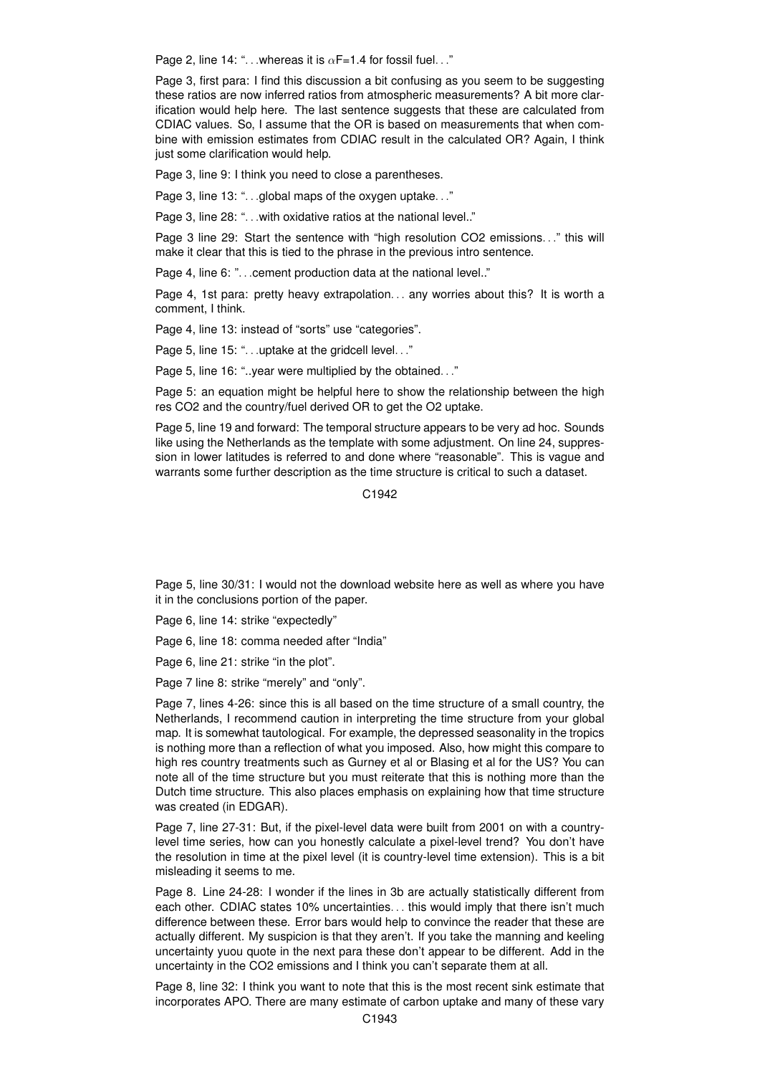Page 2, line 14: "... whereas it is  $\alpha$ F=1.4 for fossil fuel..."

Page 3, first para: I find this discussion a bit confusing as you seem to be suggesting these ratios are now inferred ratios from atmospheric measurements? A bit more clarification would help here. The last sentence suggests that these are calculated from CDIAC values. So, I assume that the OR is based on measurements that when combine with emission estimates from CDIAC result in the calculated OR? Again, I think just some clarification would help.

Page 3, line 9: I think you need to close a parentheses.

Page 3, line 13: "...global maps of the oxygen uptake..."

Page 3, line 28: "... with oxidative ratios at the national level.."

Page 3 line 29: Start the sentence with "high resolution CO2 emissions. . ." this will make it clear that this is tied to the phrase in the previous intro sentence.

Page 4, line 6: "... cement production data at the national level.."

Page 4, 1st para: pretty heavy extrapolation... any worries about this? It is worth a comment, I think.

Page 4, line 13: instead of "sorts" use "categories".

Page 5, line 15: "...uptake at the gridcell level..."

Page 5, line 16: "..year were multiplied by the obtained. . ."

Page 5: an equation might be helpful here to show the relationship between the high res CO2 and the country/fuel derived OR to get the O2 uptake.

Page 5, line 19 and forward: The temporal structure appears to be very ad hoc. Sounds like using the Netherlands as the template with some adjustment. On line 24, suppression in lower latitudes is referred to and done where "reasonable". This is vague and warrants some further description as the time structure is critical to such a dataset.

C<sub>1942</sub>

Page 5, line 30/31: I would not the download website here as well as where you have it in the conclusions portion of the paper.

Page 6, line 14: strike "expectedly"

Page 6, line 18: comma needed after "India"

Page 6, line 21: strike "in the plot".

Page 7 line 8: strike "merely" and "only".

Page 7, lines 4-26: since this is all based on the time structure of a small country, the Netherlands, I recommend caution in interpreting the time structure from your global map. It is somewhat tautological. For example, the depressed seasonality in the tropics is nothing more than a reflection of what you imposed. Also, how might this compare to high res country treatments such as Gurney et al or Blasing et al for the US? You can note all of the time structure but you must reiterate that this is nothing more than the Dutch time structure. This also places emphasis on explaining how that time structure was created (in EDGAR).

Page 7, line 27-31: But, if the pixel-level data were built from 2001 on with a countrylevel time series, how can you honestly calculate a pixel-level trend? You don't have the resolution in time at the pixel level (it is country-level time extension). This is a bit misleading it seems to me.

Page 8. Line 24-28: I wonder if the lines in 3b are actually statistically different from each other. CDIAC states 10% uncertainties. . . this would imply that there isn't much difference between these. Error bars would help to convince the reader that these are actually different. My suspicion is that they aren't. If you take the manning and keeling uncertainty yuou quote in the next para these don't appear to be different. Add in the uncertainty in the CO2 emissions and I think you can't separate them at all.

Page 8, line 32: I think you want to note that this is the most recent sink estimate that incorporates APO. There are many estimate of carbon uptake and many of these vary